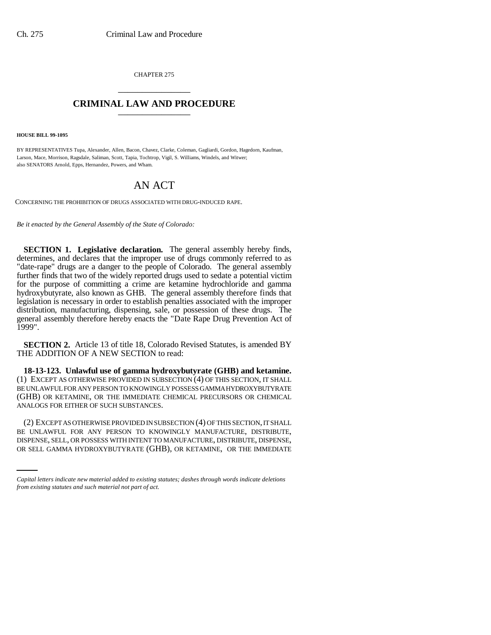CHAPTER 275 \_\_\_\_\_\_\_\_\_\_\_\_\_\_\_

## **CRIMINAL LAW AND PROCEDURE** \_\_\_\_\_\_\_\_\_\_\_\_\_\_\_

**HOUSE BILL 99-1095**

BY REPRESENTATIVES Tupa, Alexander, Allen, Bacon, Chavez, Clarke, Coleman, Gagliardi, Gordon, Hagedorn, Kaufman, Larson, Mace, Morrison, Ragsdale, Saliman, Scott, Tapia, Tochtrop, Vigil, S. Williams, Windels, and Witwer; also SENATORS Arnold, Epps, Hernandez, Powers, and Wham.

## AN ACT

CONCERNING THE PROHIBITION OF DRUGS ASSOCIATED WITH DRUG-INDUCED RAPE.

*Be it enacted by the General Assembly of the State of Colorado:*

**SECTION 1. Legislative declaration.** The general assembly hereby finds, determines, and declares that the improper use of drugs commonly referred to as "date-rape" drugs are a danger to the people of Colorado. The general assembly further finds that two of the widely reported drugs used to sedate a potential victim for the purpose of committing a crime are ketamine hydrochloride and gamma hydroxybutyrate, also known as GHB. The general assembly therefore finds that legislation is necessary in order to establish penalties associated with the improper distribution, manufacturing, dispensing, sale, or possession of these drugs. The general assembly therefore hereby enacts the "Date Rape Drug Prevention Act of 1999".

**SECTION 2.** Article 13 of title 18, Colorado Revised Statutes, is amended BY THE ADDITION OF A NEW SECTION to read:

**18-13-123. Unlawful use of gamma hydroxybutyrate (GHB) and ketamine.** (1) EXCEPT AS OTHERWISE PROVIDED IN SUBSECTION (4) OF THIS SECTION, IT SHALL BE UNLAWFUL FOR ANY PERSON TO KNOWINGLY POSSESS GAMMA HYDROXYBUTYRATE (GHB) OR KETAMINE, OR THE IMMEDIATE CHEMICAL PRECURSORS OR CHEMICAL ANALOGS FOR EITHER OF SUCH SUBSTANCES.

BE UNLAWFUL FOR ANY PERSON TO KNOWINGLY MANUFACTURE, DISTRIBUTE, (2) EXCEPT AS OTHERWISE PROVIDED IN SUBSECTION (4) OF THIS SECTION, IT SHALL DISPENSE, SELL, OR POSSESS WITH INTENT TO MANUFACTURE, DISTRIBUTE, DISPENSE, OR SELL GAMMA HYDROXYBUTYRATE (GHB), OR KETAMINE, OR THE IMMEDIATE

*Capital letters indicate new material added to existing statutes; dashes through words indicate deletions from existing statutes and such material not part of act.*